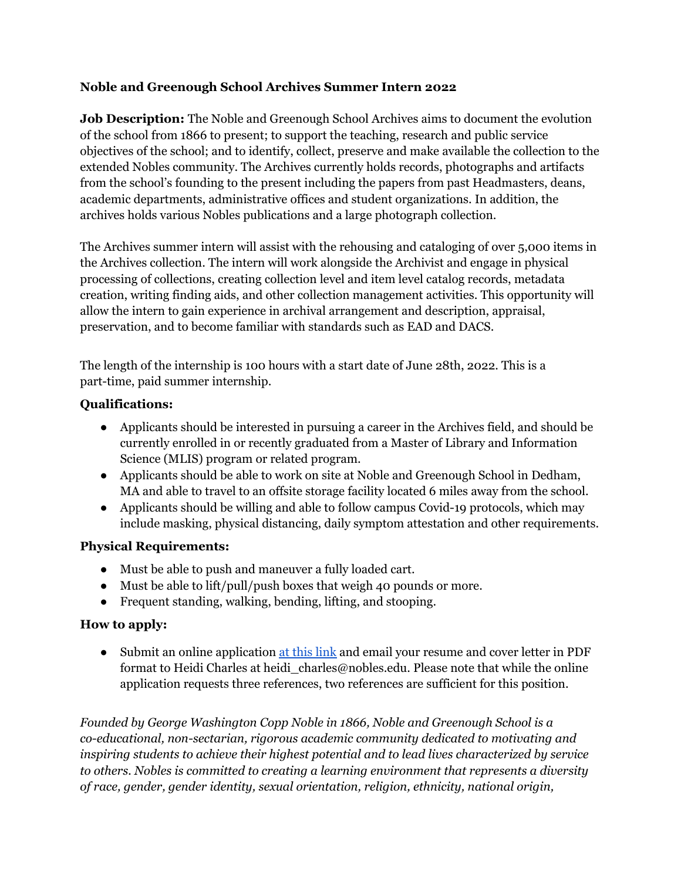## **Noble and Greenough School Archives Summer Intern 2022**

**Job Description:** The Noble and Greenough School Archives aims to document the evolution of the school from 1866 to present; to support the teaching, research and public service objectives of the school; and to identify, collect, preserve and make available the collection to the extended Nobles community. The Archives currently holds records, photographs and artifacts from the school's founding to the present including the papers from past Headmasters, deans, academic departments, administrative offices and student organizations. In addition, the archives holds various Nobles publications and a large photograph collection.

The Archives summer intern will assist with the rehousing and cataloging of over 5,000 items in the Archives collection. The intern will work alongside the Archivist and engage in physical processing of collections, creating collection level and item level catalog records, metadata creation, writing finding aids, and other collection management activities. This opportunity will allow the intern to gain experience in archival arrangement and description, appraisal, preservation, and to become familiar with standards such as EAD and DACS.

The length of the internship is 100 hours with a start date of June 28th, 2022. This is a part-time, paid summer internship.

## **Qualifications:**

- Applicants should be interested in pursuing a career in the Archives field, and should be currently enrolled in or recently graduated from a Master of Library and Information Science (MLIS) program or related program.
- Applicants should be able to work on site at Noble and Greenough School in Dedham, MA and able to travel to an offsite storage facility located 6 miles away from the school.
- Applicants should be willing and able to follow campus Covid-19 protocols, which may include masking, physical distancing, daily symptom attestation and other requirements.

## **Physical Requirements:**

- Must be able to push and maneuver a fully loaded cart.
- Must be able to lift/pull/push boxes that weigh 40 pounds or more.
- Frequent standing, walking, bending, lifting, and stooping.

## **How to apply:**

• Submit an online application at this [link](https://forms.veracross.com/Forms/nobles/ApplicationforEmployment/Personal.aspx) and email your resume and cover letter in PDF format to Heidi Charles at heidi\_charles@nobles.edu. Please note that while the online application requests three references, two references are sufficient for this position.

*Founded by George Washington Copp Noble in 1866, Noble and Greenough School is a co-educational, non-sectarian, rigorous academic community dedicated to motivating and inspiring students to achieve their highest potential and to lead lives characterized by service to others. Nobles is committed to creating a learning environment that represents a diversity of race, gender, gender identity, sexual orientation, religion, ethnicity, national origin,*